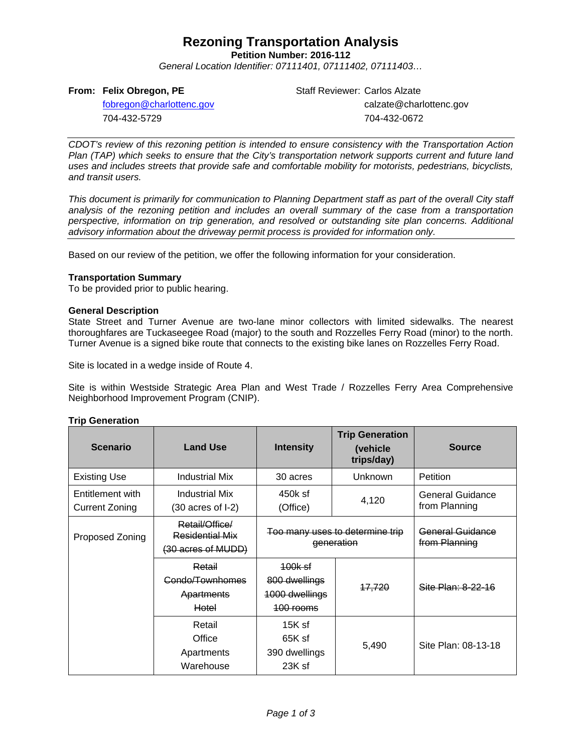### **Rezoning Transportation Analysis**

**Petition Number: 2016-112**

*General Location Identifier: 07111401, 07111402, 07111403…*

#### **From: Felix Obregon, PE**

Staff Reviewer: Carlos Alzate calzate@charlottenc.gov 704-432-0672

[fobregon@charlottenc.gov](mailto:fobregon@charlottenc.gov) 704-432-5729

*CDOT's review of this rezoning petition is intended to ensure consistency with the Transportation Action Plan (TAP) which seeks to ensure that the City's transportation network supports current and future land uses and includes streets that provide safe and comfortable mobility for motorists, pedestrians, bicyclists, and transit users.*

*This document is primarily for communication to Planning Department staff as part of the overall City staff analysis of the rezoning petition and includes an overall summary of the case from a transportation perspective, information on trip generation, and resolved or outstanding site plan concerns. Additional advisory information about the driveway permit process is provided for information only.*

Based on our review of the petition, we offer the following information for your consideration.

#### **Transportation Summary**

To be provided prior to public hearing.

#### **General Description**

State Street and Turner Avenue are two-lane minor collectors with limited sidewalks. The nearest thoroughfares are Tuckaseegee Road (major) to the south and Rozzelles Ferry Road (minor) to the north. Turner Avenue is a signed bike route that connects to the existing bike lanes on Rozzelles Ferry Road.

Site is located in a wedge inside of Route 4.

Site is within Westside Strategic Area Plan and West Trade / Rozzelles Ferry Area Comprehensive Neighborhood Improvement Program (CNIP).

#### **Trip Generation**

| <b>Scenario</b>                           | <b>Land Use</b>                                                | <b>Intensity</b>                                               | <b>Trip Generation</b><br>(vehicle<br>trips/day) | <b>Source</b>                     |
|-------------------------------------------|----------------------------------------------------------------|----------------------------------------------------------------|--------------------------------------------------|-----------------------------------|
| <b>Existing Use</b>                       | Industrial Mix                                                 | 30 acres                                                       | Unknown                                          | <b>Petition</b>                   |
| Entitlement with<br><b>Current Zoning</b> | <b>Industrial Mix</b><br>$(30 \text{ acres of } I-2)$          | 450k sf<br>(Office)                                            | 4,120                                            | General Guidance<br>from Planning |
| Proposed Zoning                           | Retail/Office/<br><b>Residential Mix</b><br>(30 acres of MUDD) | Too many uses to determine trip<br>generation                  |                                                  | General Guidance<br>from Planning |
|                                           | Retail<br>Condo/Townhomes<br><b>Apartments</b><br>Hotel        | <u>100k sf</u><br>800 dwellings<br>1000 dwellings<br>100 rooms | <del>17,720</del>                                | Site Plan: 8-22-16                |
|                                           | Retail<br>Office<br>Apartments<br>Warehouse                    | $15K$ sf<br>65K sf<br>390 dwellings<br>23K sf                  | 5,490                                            | Site Plan: 08-13-18               |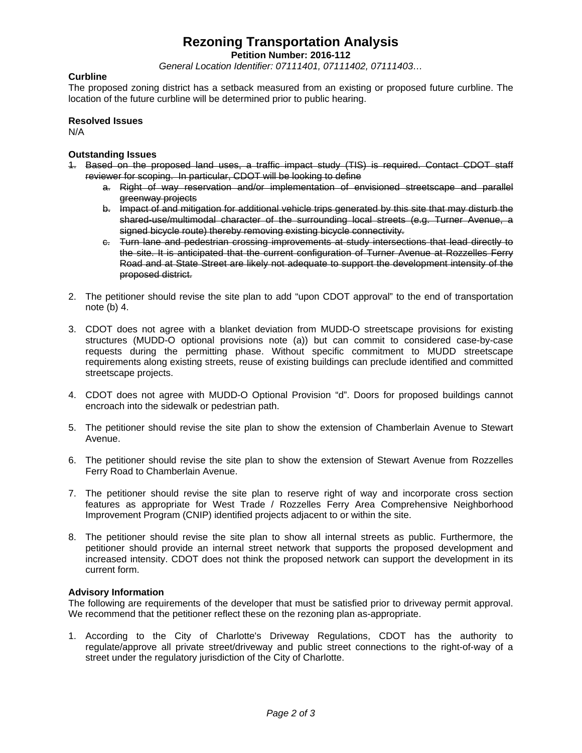## **Rezoning Transportation Analysis**

**Petition Number: 2016-112**

*General Location Identifier: 07111401, 07111402, 07111403…*

#### **Curbline**

The proposed zoning district has a setback measured from an existing or proposed future curbline. The location of the future curbline will be determined prior to public hearing.

#### **Resolved Issues**

N/A

#### **Outstanding Issues**

- 1. Based on the proposed land uses, a traffic impact study (TIS) is required. Contact CDOT staff reviewer for scoping. In particular, CDOT will be looking to define
	- a. Right of way reservation and/or implementation of envisioned streetscape and parallel greenway projects
	- b. Impact of and mitigation for additional vehicle trips generated by this site that may disturb the shared-use/multimodal character of the surrounding local streets (e.g. Turner Avenue, a signed bicycle route) thereby removing existing bicycle connectivity.
	- c. Turn lane and pedestrian crossing improvements at study intersections that lead directly to the site. It is anticipated that the current configuration of Turner Avenue at Rozzelles Ferry Road and at State Street are likely not adequate to support the development intensity of the proposed district.
- 2. The petitioner should revise the site plan to add "upon CDOT approval" to the end of transportation note (b) 4.
- 3. CDOT does not agree with a blanket deviation from MUDD-O streetscape provisions for existing structures (MUDD-O optional provisions note (a)) but can commit to considered case-by-case requests during the permitting phase. Without specific commitment to MUDD streetscape requirements along existing streets, reuse of existing buildings can preclude identified and committed streetscape projects.
- 4. CDOT does not agree with MUDD-O Optional Provision "d". Doors for proposed buildings cannot encroach into the sidewalk or pedestrian path.
- 5. The petitioner should revise the site plan to show the extension of Chamberlain Avenue to Stewart Avenue.
- 6. The petitioner should revise the site plan to show the extension of Stewart Avenue from Rozzelles Ferry Road to Chamberlain Avenue.
- 7. The petitioner should revise the site plan to reserve right of way and incorporate cross section features as appropriate for West Trade / Rozzelles Ferry Area Comprehensive Neighborhood Improvement Program (CNIP) identified projects adjacent to or within the site.
- 8. The petitioner should revise the site plan to show all internal streets as public. Furthermore, the petitioner should provide an internal street network that supports the proposed development and increased intensity. CDOT does not think the proposed network can support the development in its current form.

#### **Advisory Information**

The following are requirements of the developer that must be satisfied prior to driveway permit approval. We recommend that the petitioner reflect these on the rezoning plan as-appropriate.

1. According to the City of Charlotte's Driveway Regulations, CDOT has the authority to regulate/approve all private street/driveway and public street connections to the right-of-way of a street under the regulatory jurisdiction of the City of Charlotte.